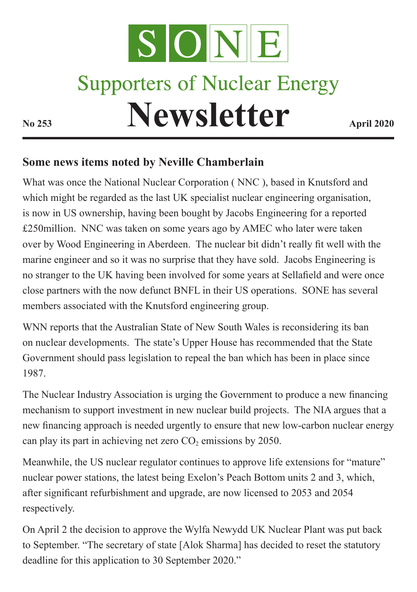

## **Some news items noted by Neville Chamberlain**

What was once the National Nuclear Corporation ( NNC ), based in Knutsford and which might be regarded as the last UK specialist nuclear engineering organisation, is now in US ownership, having been bought by Jacobs Engineering for a reported £250million. NNC was taken on some years ago by AMEC who later were taken over by Wood Engineering in Aberdeen. The nuclear bit didn't really fit well with the marine engineer and so it was no surprise that they have sold. Jacobs Engineering is no stranger to the UK having been involved for some years at Sellafield and were once close partners with the now defunct BNFL in their US operations. SONE has several members associated with the Knutsford engineering group.

WNN reports that the Australian State of New South Wales is reconsidering its ban on nuclear developments. The state's Upper House has recommended that the State Government should pass legislation to repeal the ban which has been in place since 1987.

The Nuclear Industry Association is urging the Government to produce a new financing mechanism to support investment in new nuclear build projects. The NIA argues that a new financing approach is needed urgently to ensure that new low-carbon nuclear energy can play its part in achieving net zero  $CO<sub>2</sub>$  emissions by 2050.

Meanwhile, the US nuclear regulator continues to approve life extensions for "mature" nuclear power stations, the latest being Exelon's Peach Bottom units 2 and 3, which, after significant refurbishment and upgrade, are now licensed to 2053 and 2054 respectively.

On April 2 the decision to approve the Wylfa Newydd UK Nuclear Plant was put back to September. "The secretary of state [Alok Sharma] has decided to reset the statutory deadline for this application to 30 September 2020."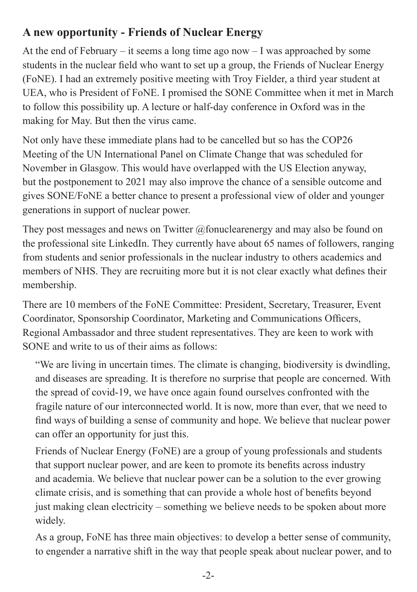## **A new opportunity - Friends of Nuclear Energy**

At the end of February – it seems a long time ago now – I was approached by some students in the nuclear field who want to set up a group, the Friends of Nuclear Energy (FoNE). I had an extremely positive meeting with Troy Fielder, a third year student at UEA, who is President of FoNE. I promised the SONE Committee when it met in March to follow this possibility up. A lecture or half-day conference in Oxford was in the making for May. But then the virus came.

Not only have these immediate plans had to be cancelled but so has the COP26 Meeting of the UN International Panel on Climate Change that was scheduled for November in Glasgow. This would have overlapped with the US Election anyway, but the postponement to 2021 may also improve the chance of a sensible outcome and gives SONE/FoNE a better chance to present a professional view of older and younger generations in support of nuclear power.

They post messages and news on Twitter  $\omega$  fonuclearenergy and may also be found on the professional site LinkedIn. They currently have about 65 names of followers, ranging from students and senior professionals in the nuclear industry to others academics and members of NHS. They are recruiting more but it is not clear exactly what defines their membership.

There are 10 members of the FoNE Committee: President, Secretary, Treasurer, Event Coordinator, Sponsorship Coordinator, Marketing and Communications Officers, Regional Ambassador and three student representatives. They are keen to work with SONE and write to us of their aims as follows:

"We are living in uncertain times. The climate is changing, biodiversity is dwindling, and diseases are spreading. It is therefore no surprise that people are concerned. With the spread of covid-19, we have once again found ourselves confronted with the fragile nature of our interconnected world. It is now, more than ever, that we need to find ways of building a sense of community and hope. We believe that nuclear power can offer an opportunity for just this.

Friends of Nuclear Energy (FoNE) are a group of young professionals and students that support nuclear power, and are keen to promote its benefits across industry and academia. We believe that nuclear power can be a solution to the ever growing climate crisis, and is something that can provide a whole host of benefits beyond just making clean electricity – something we believe needs to be spoken about more widely.

As a group, FoNE has three main objectives: to develop a better sense of community, to engender a narrative shift in the way that people speak about nuclear power, and to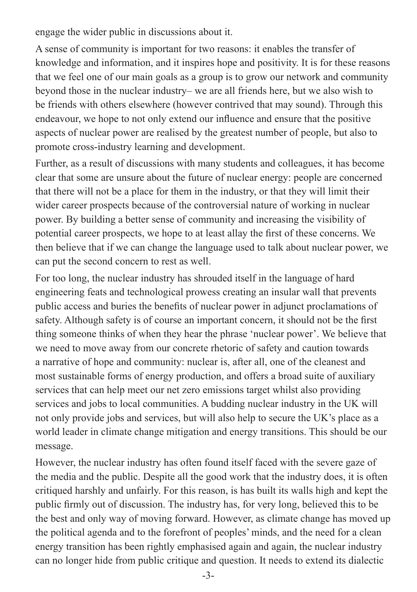engage the wider public in discussions about it.

A sense of community is important for two reasons: it enables the transfer of knowledge and information, and it inspires hope and positivity. It is for these reasons that we feel one of our main goals as a group is to grow our network and community beyond those in the nuclear industry– we are all friends here, but we also wish to be friends with others elsewhere (however contrived that may sound). Through this endeavour, we hope to not only extend our influence and ensure that the positive aspects of nuclear power are realised by the greatest number of people, but also to promote cross-industry learning and development.

Further, as a result of discussions with many students and colleagues, it has become clear that some are unsure about the future of nuclear energy: people are concerned that there will not be a place for them in the industry, or that they will limit their wider career prospects because of the controversial nature of working in nuclear power. By building a better sense of community and increasing the visibility of potential career prospects, we hope to at least allay the first of these concerns. We then believe that if we can change the language used to talk about nuclear power, we can put the second concern to rest as well.

For too long, the nuclear industry has shrouded itself in the language of hard engineering feats and technological prowess creating an insular wall that prevents public access and buries the benefits of nuclear power in adjunct proclamations of safety. Although safety is of course an important concern, it should not be the first thing someone thinks of when they hear the phrase 'nuclear power'. We believe that we need to move away from our concrete rhetoric of safety and caution towards a narrative of hope and community: nuclear is, after all, one of the cleanest and most sustainable forms of energy production, and offers a broad suite of auxiliary services that can help meet our net zero emissions target whilst also providing services and jobs to local communities. A budding nuclear industry in the UK will not only provide jobs and services, but will also help to secure the UK's place as a world leader in climate change mitigation and energy transitions. This should be our message.

However, the nuclear industry has often found itself faced with the severe gaze of the media and the public. Despite all the good work that the industry does, it is often critiqued harshly and unfairly. For this reason, is has built its walls high and kept the public firmly out of discussion. The industry has, for very long, believed this to be the best and only way of moving forward. However, as climate change has moved up the political agenda and to the forefront of peoples' minds, and the need for a clean energy transition has been rightly emphasised again and again, the nuclear industry can no longer hide from public critique and question. It needs to extend its dialectic